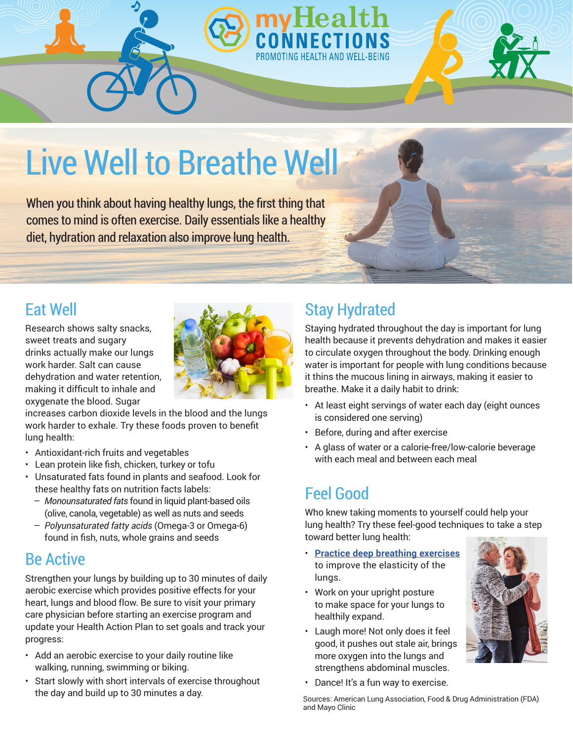

When you think about having healthy lungs, the first thing that comes to mind is often exercise. Daily essentials like a healthy diet, hydration and relaxation also improve lung health.

#### Eat Well

Research shows salty snacks, sweet treats and sugary drinks actually make our lungs work harder. Salt can cause dehydration and water retention, making it difficult to inhale and oxygenate the blood. Sugar



increases carbon dioxide levels in the blood and the lungs work harder to exhale. Try these foods proven to benefit lung health:

- Antioxidant-rich fruits and vegetables
- Lean protein like fish, chicken, turkey or tofu
- Unsaturated fats found in plants and seafood. Look for these healthy fats on nutrition facts labels:
	- *Monounsaturated fats* found in liquid plant-based oils (olive, canola, vegetable) as well as nuts and seeds
	- *Polyunsaturated fatty acids* (Omega-3 or Omega-6) found in fish, nuts, whole grains and seeds

#### Be Active

Strengthen your lungs by building up to 30 minutes of daily aerobic exercise which provides positive effects for your heart, lungs and blood flow. Be sure to visit your primary care physician before starting an exercise program and update your Health Action Plan to set goals and track your progress:

- Add an aerobic exercise to your daily routine like walking, running, swimming or biking.
- Start slowly with short intervals of exercise throughout the day and build up to 30 minutes a day.

### Stay Hydrated

PROMOTING HEALTH AND WELL-BEING

Staying hydrated throughout the day is important for lung health because it prevents dehydration and makes it easier to circulate oxygen throughout the body. Drinking enough water is important for people with lung conditions because it thins the mucous lining in airways, making it easier to breathe. Make it a daily habit to drink:

- At least eight servings of water each day (eight ounces is considered one serving)
- Before, during and after exercise
- A glass of water or a calorie-free/low-calorie beverage with each meal and between each meal

#### Feel Good

Who knew taking moments to yourself could help your lung health? Try these feel-good techniques to take a step toward better lung health:

- **Practice d[eep breathing exercises](https://www.lung.org/lung-health-and-diseases/protecting-your-lungs/breathing-exercises.html)** to improve the elasticity of the lungs.
- Work on your upright posture to make space for your lungs to healthily expand.
- Laugh more! Not only does it feel good, it pushes out stale air, brings more oxygen into the lungs and strengthens abdominal muscles.



• Dance! It's a fun way to exercise.

Sources: American Lung Association, Food & Drug Administration (FDA) and Mayo Clinic